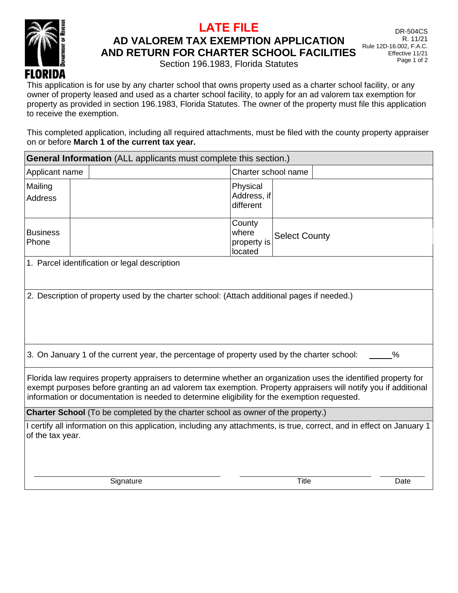

## **LATE FILE**

**AD VALOREM TAX EXEMPTION APPLICATION** 

**AND RETURN FOR CHARTER SCHOOL FACILITIES** 

Section 196.1983, Florida Statutes

DR-504CS R. 11/21 Rule 12D-16.002, F.A.C. Effective 11/21 Page 1 of 2

This application is for use by any charter school that owns property used as a charter school facility, or any owner of property leased and used as a charter school facility, to apply for an ad valorem tax exemption for property as provided in section 196.1983, Florida Statutes. The owner of the property must file this application to receive the exemption.

This completed application, including all required attachments, must be filed with the county property appraiser on or before **March 1 of the current tax year.**

| <b>General Information</b> (ALL applicants must complete this section.)                                                                                                                                                                                                                                                          |           |                                                                                                                        |  |  |
|----------------------------------------------------------------------------------------------------------------------------------------------------------------------------------------------------------------------------------------------------------------------------------------------------------------------------------|-----------|------------------------------------------------------------------------------------------------------------------------|--|--|
| Applicant name                                                                                                                                                                                                                                                                                                                   |           | Charter school name                                                                                                    |  |  |
| Mailing                                                                                                                                                                                                                                                                                                                          |           | Physical<br>Address, if                                                                                                |  |  |
| <b>Address</b>                                                                                                                                                                                                                                                                                                                   |           | different                                                                                                              |  |  |
| <b>Business</b>                                                                                                                                                                                                                                                                                                                  |           | County<br>where                                                                                                        |  |  |
| Phone                                                                                                                                                                                                                                                                                                                            |           | <b>Select County</b><br>property is<br>located                                                                         |  |  |
| 1. Parcel identification or legal description                                                                                                                                                                                                                                                                                    |           |                                                                                                                        |  |  |
| 2. Description of property used by the charter school: (Attach additional pages if needed.)                                                                                                                                                                                                                                      |           |                                                                                                                        |  |  |
| 3. On January 1 of the current year, the percentage of property used by the charter school:<br>%                                                                                                                                                                                                                                 |           |                                                                                                                        |  |  |
| Florida law requires property appraisers to determine whether an organization uses the identified property for<br>exempt purposes before granting an ad valorem tax exemption. Property appraisers will notify you if additional<br>information or documentation is needed to determine eligibility for the exemption requested. |           |                                                                                                                        |  |  |
| <b>Charter School</b> (To be completed by the charter school as owner of the property.)                                                                                                                                                                                                                                          |           |                                                                                                                        |  |  |
| of the tax year.                                                                                                                                                                                                                                                                                                                 |           | I certify all information on this application, including any attachments, is true, correct, and in effect on January 1 |  |  |
|                                                                                                                                                                                                                                                                                                                                  | Signature | <b>Title</b><br>Date                                                                                                   |  |  |